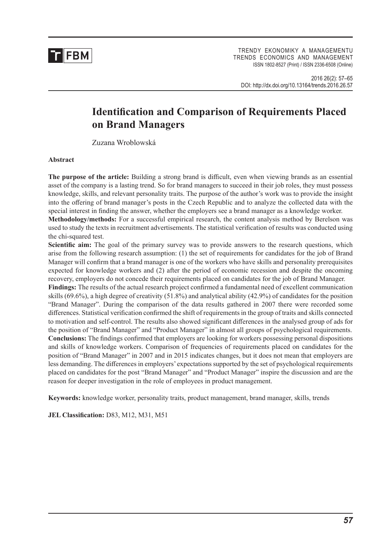

Trendy ekonomiky a managemenTu TRENDS ECONOMICS AND MANAGEMENT issn 1802-8527 (Print) / issn 2336-6508 (online)

2016 26(2): 57–65 DOI: http://dx.doi.org/10.13164/trends.2016.26.57

# **Identification and Comparison of Requirements Placed on Brand Managers**

Zuzana Wroblowská

## **Abstract**

**The purpose of the article:** Building a strong brand is difficult, even when viewing brands as an essential asset of the company is a lasting trend. So for brand managers to succeed in their job roles, they must possess knowledge, skills, and relevant personality traits. The purpose of the author's work was to provide the insight into the offering of brand manager's posts in the Czech Republic and to analyze the collected data with the special interest in finding the answer, whether the employers see a brand manager as a knowledge worker.

**Methodology/methods:** For a successful empirical research, the content analysis method by Berelson was used to study the texts in recruitment advertisements. The statistical verification of results was conducted using the chi-squared test.

Scientific aim: The goal of the primary survey was to provide answers to the research questions, which arise from the following research assumption: (1) the set of requirements for candidates for the job of Brand Manager will confirm that a brand manager is one of the workers who have skills and personality prerequisites expected for knowledge workers and (2) after the period of economic recession and despite the oncoming recovery, employers do not concede their requirements placed on candidates for the job of Brand Manager.

**Findings:** The results of the actual research project confirmed a fundamental need of excellent communication skills (69.6%), a high degree of creativity (51.8%) and analytical ability (42.9%) of candidates for the position "Brand Manager". During the comparison of the data results gathered in 2007 there were recorded some differences. Statistical verification confirmed the shift of requirements in the group of traits and skills connected to motivation and self-control. The results also showed significant differences in the analysed group of ads for the position of "Brand Manager" and "Product Manager" in almost all groups of psychological requirements. **Conclusions:** The findings confirmed that employers are looking for workers possessing personal dispositions and skills of knowledge workers. Comparison of frequencies of requirements placed on candidates for the position of "Brand Manager" in 2007 and in 2015 indicates changes, but it does not mean that employers are less demanding. The differences in employers' expectations supported by the set of psychological requirements placed on candidates for the post "Brand Manager" and "Product Manager" inspire the discussion and are the reason for deeper investigation in the role of employees in product management.

**Keywords:** knowledge worker, personality traits, product management, brand manager, skills, trends

**JEL Classification:** D83, M12, M31, M51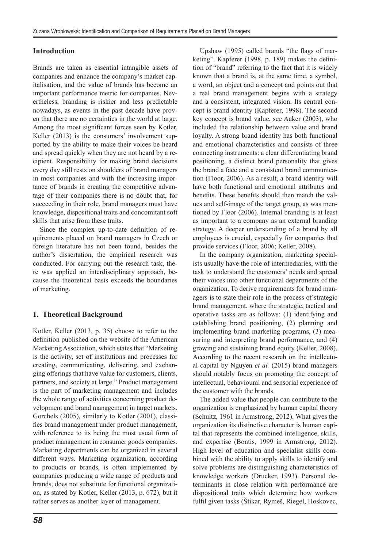# **Introduction**

Brands are taken as essential intangible assets of companies and enhance the company's market capitalisation, and the value of brands has become an important performance metric for companies. Nevertheless, branding is riskier and less predictable nowadays, as events in the past decade have proven that there are no certainties in the world at large. Among the most significant forces seen by Kotler, Keller (2013) is the consumers' involvement supported by the ability to make their voices be heard and spread quickly when they are not heard by a recipient. Responsibility for making brand decisions every day still rests on shoulders of brand managers in most companies and with the increasing importance of brands in creating the competitive advantage of their companies there is no doubt that, for succeeding in their role, brand managers must have knowledge, dispositional traits and concomitant soft skills that arise from these traits.

Since the complex up-to-date definition of requirements placed on brand managers in Czech or foreign literature has not been found, besides the author's dissertation, the empirical research was conducted. For carrying out the research task, there was applied an interdisciplinary approach, because the theoretical basis exceeds the boundaries of marketing.

## **1. Theoretical Background**

Kotler, Keller (2013, p. 35) choose to refer to the definition published on the website of the American Marketing Association, which states that "Marketing is the activity, set of institutions and processes for creating, communicating, delivering, and exchanging offerings that have value for customers, clients, partners, and society at large." Product management is the part of marketing management and includes the whole range of activities concerning product development and brand management in target markets. Gorchels (2005), similarly to Kotler (2001), classifies brand management under product management, with reference to its being the most usual form of product management in consumer goods companies. Marketing departments can be organized in several different ways. Marketing organization, according to products or brands, is often implemented by companies producing a wide range of products and brands, does not substitute for functional organization, as stated by Kotler, Keller (2013, p. 672), but it rather serves as another layer of management.

Upshaw (1995) called brands "the flags of marketing". Kapferer (1998, p. 189) makes the definition of "brand" referring to the fact that it is widely known that a brand is, at the same time, a symbol, a word, an object and a concept and points out that a real brand management begins with a strategy and a consistent, integrated vision. Its central concept is brand identity (Kapferer, 1998). The second key concept is brand value, see Aaker (2003), who included the relationship between value and brand loyalty. A strong brand identity has both functional and emotional characteristics and consists of three connecting instruments: a clear differentiating brand positioning, a distinct brand personality that gives the brand a face and a consistent brand communication (Floor, 2006). As a result, a brand identity will have both functional and emotional attributes and benefits. These benefits should then match the values and self-image of the target group, as was mentioned by Floor (2006). Internal branding is at least as important to a company as an external branding strategy. A deeper understanding of a brand by all employees is crucial, especially for companies that provide services (Floor, 2006; Keller, 2008).

In the company organization, marketing specialists usually have the role of intermediaries, with the task to understand the customers' needs and spread their voices into other functional departments of the organization. To derive requirements for brand managers is to state their role in the process of strategic brand management, where the strategic, tactical and operative tasks are as follows: (1) identifying and establishing brand positioning, (2) planning and implementing brand marketing programs, (3) measuring and interpreting brand performance, and (4) growing and sustaining brand equity (Keller, 2008). According to the recent research on the intellectual capital by Nguyen *et al.* (2015) brand managers should notably focus on promoting the concept of intellectual, behavioural and sensorial experience of the customer with the brands.

The added value that people can contribute to the organization is emphasized by human capital theory (Schultz, 1961 in Armstrong, 2012). What gives the organization its distinctive character is human capital that represents the combined intelligence, skills, and expertise (Bontis, 1999 in Armstrong, 2012). High level of education and specialist skills combined with the ability to apply skills to identify and solve problems are distinguishing characteristics of knowledge workers (Drucker, 1993). Personal determinants in close relation with performance are dispositional traits which determine how workers fulfil given tasks (Štikar, Rymeš, Riegel, Hoskovec,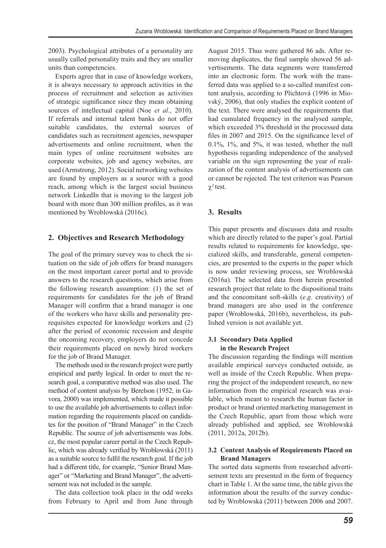2003). Psychological attributes of a personality are usually called personality traits and they are smaller units than competencies.

Experts agree that in case of knowledge workers, it is always necessary to approach activities in the process of recruitment and selection as activities of strategic significance since they mean obtaining sources of intellectual capital (Noe *et al.*, 2010). If referrals and internal talent banks do not offer suitable candidates, the external sources of candidates such as recruitment agencies, newspaper advertisements and online recruitment, when the main types of online recruitment websites are corporate websites, job and agency websites, are used (Armstrong, 2012). Social networking websites are found by employers as a source with a good reach, among which is the largest social business network LinkedIn that is moving to the largest job board with more than 300 million profiles, as it was mentioned by Wroblowská (2016c).

# **2. Objectives and Research Methodology**

The goal of the primary survey was to check the situation on the side of job offers for brand managers on the most important career portal and to provide answers to the research questions, which arise from the following research assumption: (1) the set of requirements for candidates for the job of Brand Manager will confirm that a brand manager is one of the workers who have skills and personality prerequisites expected for knowledge workers and (2) after the period of economic recession and despite the oncoming recovery, employers do not concede their requirements placed on newly hired workers for the job of Brand Manager.

The methods used in the research project were partly empirical and partly logical. In order to meet the research goal, a comparative method was also used. The method of content analysis by Berelson (1952, in Gavora, 2000) was implemented, which made it possible to use the available job advertisements to collect information regarding the requirements placed on candidates for the position of "Brand Manager" in the Czech Republic. The source of job advertisements was Jobs. cz, the most popular career portal in the Czech Republic, which was already verified by Wroblowská (2011) as a suitable source to fulfil the research goal. If the job had a different title, for example, "Senior Brand Manager" or "Marketing and Brand Manager", the advertisement was not included in the sample.

The data collection took place in the odd weeks from February to April and from June through August 2015. Thus were gathered 86 ads. After removing duplicates, the final sample showed 56 advertisements. The data segments were transferred into an electronic form. The work with the transferred data was applied to a so-called manifest content analysis, according to Plichtová (1996 in Miovský, 2006), that only studies the explicit content of the text. There were analysed the requirements that had cumulated frequency in the analysed sample, which exceeded 3% threshold in the processed data files in 2007 and 2015. On the significance level of 0.1%, 1%, and 5%, it was tested, whether the null hypothesis regarding independence of the analysed variable on the sign representing the year of realization of the content analysis of advertisements can or cannot be rejected. The test criterion was Pearson  $χ<sup>2</sup>$  test.

# **3. Results**

This paper presents and discusses data and results which are directly related to the paper's goal. Partial results related to requirements for knowledge, specialized skills, and transferable, general competencies, are presented to the experts in the paper which is now under reviewing process, see Wroblowská (2016a). The selected data from herein presented research project that relate to the dispositional traits and the concomitant soft-skills (*e.g.* creativity) of brand managers are also used in the conference paper (Wroblowská, 2016b), nevertheless, its published version is not available yet.

## **3.1 Secondary Data Applied in the Research Project**

The discussion regarding the findings will mention available empirical surveys conducted outside, as well as inside of the Czech Republic. When preparing the project of the independent research, no new information from the empirical research was available, which meant to research the human factor in product or brand oriented marketing management in the Czech Republic, apart from those which were already published and applied, see Wroblowská (2011, 2012a, 2012b).

## **3.2 Content Analysis of Requirements Placed on Brand Managers**

The sorted data segments from researched advertisement texts are presented in the form of frequency chart in Table 1. At the same time, the table gives the information about the results of the survey conducted by Wroblowská (2011) between 2006 and 2007.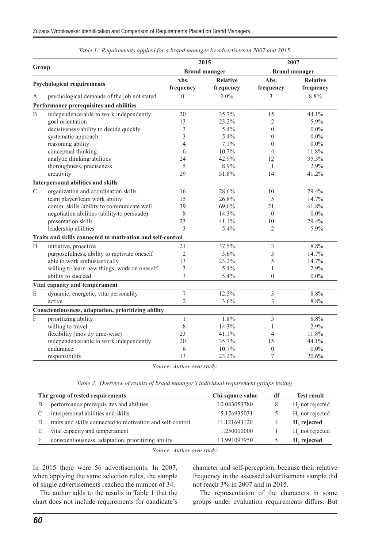| Group                             |                                                            |                | 2015                 | 2007                     |                 |  |  |
|-----------------------------------|------------------------------------------------------------|----------------|----------------------|--------------------------|-----------------|--|--|
|                                   |                                                            |                | <b>Brand manager</b> | <b>Brand manager</b>     |                 |  |  |
|                                   |                                                            | Abs.           | <b>Relative</b>      | Abs.                     | <b>Relative</b> |  |  |
| <b>Psychological requirements</b> |                                                            | frequency      | frequency            | frequency                | frequency       |  |  |
| А                                 | psychological demands of the job not stated                | $\theta$       | $0.0\%$              | 3                        | 8.8%            |  |  |
|                                   | Performance prerequisites and abilities                    |                |                      |                          |                 |  |  |
| $\mathbf B$                       | independence/able to work independently                    | 20             | 35.7%                | 15                       | 44.1%           |  |  |
|                                   | goal orientation                                           | 13             | 23.2%                | $\overline{c}$           | 5.9%            |  |  |
|                                   | decisiveness/ability to decide quickly                     | 3              | 5.4%                 | $\overline{0}$           | $0.0\%$         |  |  |
|                                   | systematic approach                                        | 3              | 5.4%                 | $\theta$                 | $0.0\%$         |  |  |
|                                   | reasoning ability                                          | $\overline{4}$ | 7.1%                 | $\theta$                 | $0.0\%$         |  |  |
|                                   | conceptual thinking                                        | 6              | 10.7%                | $\overline{\mathcal{A}}$ | 11.8%           |  |  |
|                                   | analytic thinking/abilities                                | 24             | 42.9%                | 12                       | 35.3%           |  |  |
|                                   | thoroughness, preciseness                                  | 5              | 8.9%                 | 1                        | 2.9%            |  |  |
|                                   | creativity                                                 | 29             | 51.8%                | 14                       | 41.2%           |  |  |
|                                   | Interpersonal abilities and skills                         |                |                      |                          |                 |  |  |
| $\mathsf{C}$                      | organization and coordination skills                       | 16             | 28.6%                | 10                       | 29.4%           |  |  |
|                                   | team player/team work ability                              | 15             | 26.8%                | 5                        | 14.7%           |  |  |
|                                   | comm. skills /ability to communicate well                  | 39             | 69.6%                | 21                       | $61.8\%$        |  |  |
|                                   | negotiation abilities (ability to persuade)                | 8              | 14.3%                | $\theta$                 | $0.0\%$         |  |  |
|                                   | presentation skills                                        | 23             | 41.1%                | 10                       | 29.4%           |  |  |
|                                   | leadership abilities                                       | 3              | 5.4%                 | $\overline{c}$           | 5.9%            |  |  |
|                                   | Traits and skills connected to motivation and self-control |                |                      |                          |                 |  |  |
| $\overline{D}$                    | initiative, proactive                                      | 21             | 37.5%                | 3                        | 8.8%            |  |  |
|                                   | purposefulness, ability to motivate oneself                | $\overline{2}$ | 3.6%                 | 5                        | 14.7%           |  |  |
|                                   | able to work enthusiastically                              | 13             | 23.2%                | 5                        | 14.7%           |  |  |
|                                   | willing to learn new things, work on oneself               | 3              | 5.4%                 | $\mathbf{1}$             | 2.9%            |  |  |
|                                   | ability to succeed                                         | 3              | 5.4%                 | $\theta$                 | $0.0\%$         |  |  |
|                                   | Vital capacity and temperament                             |                |                      |                          |                 |  |  |
| $\mathbf E$                       | dynamic, energetic, vital personality                      | $\overline{7}$ | 12.5%                | $\overline{3}$           | 8.8%            |  |  |
|                                   | active                                                     | $\overline{2}$ | 3.6%                 | 3                        | 8.8%            |  |  |
|                                   | Conscientiousness, adaptation, prioritizing ability        |                |                      |                          |                 |  |  |
| $\overline{F}$                    | prioritizing ability                                       | 1              | 1.8%                 | 3                        | 8.8%            |  |  |
|                                   | willing to travel                                          | 8              | 14.3%                | $\mathbf{1}$             | 2.9%            |  |  |
|                                   | flexibility (mos tly time-wise)                            | 23             | 41.1%                | 4                        | 11.8%           |  |  |
|                                   | independence/able to work independently                    | 20             | 35.7%                | 15                       | 44.1%           |  |  |
|                                   | endurance                                                  | 6              | 10.7%                | $\overline{0}$           | $0.0\%$         |  |  |
|                                   | responsibility                                             | 13             | 23.2%                | 7                        | 20.6%           |  |  |

|  | Table 1. Requirements applied for a brand manager by advertisers in 2007 and 2015. |  |  |  |  |  |  |
|--|------------------------------------------------------------------------------------|--|--|--|--|--|--|
|--|------------------------------------------------------------------------------------|--|--|--|--|--|--|

*Source: Author own study.*

*Table 2. Overview of results of brand manager's individual requirement groups testing.*

|              | The group of tested requirements                           | Chi-square value | df | <b>Test result</b>      |
|--------------|------------------------------------------------------------|------------------|----|-------------------------|
| <sup>B</sup> | performance prerequis ites and abilities                   | 10.083053780     |    | $H_0$ not rejected      |
| C            | interpersonal abilities and skills                         | 5.176935031      |    | $H_0$ not rejected      |
| D            | traits and skills connected to motivation and self-control | 11.121693120     | 4  | $H0$ rejected           |
| E            | vital capacity and temperament                             | 1.250000000      |    | $H_0$ not rejected      |
| F            | conscientiousness, adaptation, prioritizing ability        | 13.991097950     |    | H <sub>a</sub> rejected |

*Source: Author own study.*

In 2015 there were 56 advertisements. In 2007, when applying the same selection rules, the sample of single advertisements reached the number of 34.

The author adds to the results in Table 1 that the chart does not include requirements for candidate's character and self-perception, because their relative frequency in the assessed advertisement sample did not reach 3% in 2007 and in 2015.

The representation of the characters in some groups under evaluation requirements differs. But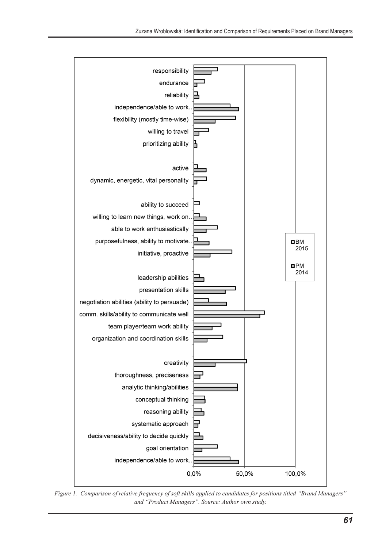

*Figure 1. Comparison of relative frequency of soft skills applied to candidates for positions titled "Brand Managers" and "Product Managers". Source: Author own study.*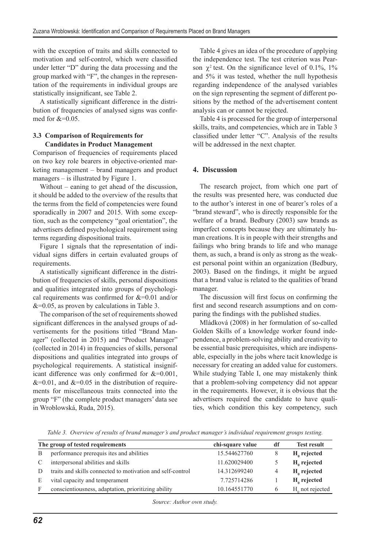with the exception of traits and skills connected to motivation and self-control, which were classified under letter "D" during the data processing and the group marked with "F", the changes in the representation of the requirements in individual groups are statistically insignificant, see Table 2.

A statistically significant difference in the distribution of frequencies of analysed signs was confirmed for  $&=0.05$ .

## **3.3 Comparison of Requirements for Candidates in Product Management**

Comparison of frequencies of requirements placed on two key role bearers in objective-oriented marketing management – brand managers and product managers – is illustrated by Figure 1.

Without – eaning to get ahead of the discussion, it should be added to the overview of the results that the terms from the field of competencies were found sporadically in 2007 and 2015. With some exception, such as the competency "goal orientation", the advertisers defined psychological requirement using terms regarding dispositional traits.

Figure 1 signals that the representation of individual signs differs in certain evaluated groups of requirements.

A statistically significant difference in the distribution of frequencies of skills, personal dispositions and qualities integrated into groups of psychological requirements was confirmed for  $&=0.01$  and/or  $&=0.05$ , as proven by calculations in Table 3.

The comparison of the set of requirements showed significant differences in the analysed groups of advertisements for the positions titled "Brand Manager" (collected in 2015) and "Product Manager" (collected in 2014) in frequencies of skills, personal dispositions and qualities integrated into groups of psychological requirements. A statistical insignificant difference was only confirmed for  $&=0.001$ ,  $&=0.01$ , and  $&=0.05$  in the distribution of requirements for miscellaneous traits connected into the group "F" (the complete product managers' data see in Wroblowská, Ruda, 2015).

Table 4 gives an idea of the procedure of applying the independence test. The test criterion was Pearson  $\chi^2$  test. On the significance level of 0.1%, 1% and 5% it was tested, whether the null hypothesis regarding independence of the analysed variables on the sign representing the segment of different positions by the method of the advertisement content analysis can or cannot be rejected.

Table 4 is processed for the group of interpersonal skills, traits, and competencies, which are in Table 3 classified under letter "C". Analysis of the results will be addressed in the next chapter.

#### **4. Discussion**

The research project, from which one part of the results was presented here, was conducted due to the author's interest in one of bearer's roles of a "brand steward", who is directly responsible for the welfare of a brand. Bedbury (2003) saw brands as imperfect concepts because they are ultimately human creations. It is in people with their strengths and failings who bring brands to life and who manage them, as such, a brand is only as strong as the weakest personal point within an organization (Bedbury, 2003). Based on the findings, it might be argued that a brand value is related to the qualities of brand manager.

The discussion will first focus on confirming the first and second research assumptions and on comparing the findings with the published studies.

Mládková (2008) in her formulation of so-called Golden Skills of a knowledge worker found independence, a problem-solving ability and creativity to be essential basic prerequisites, which are indispensable, especially in the jobs where tacit knowledge is necessary for creating an added value for customers. While studying Table I, one may mistakenly think that a problem-solving competency did not appear in the requirements. However, it is obvious that the advertisers required the candidate to have qualities, which condition this key competency, such

*Table 3. Overview of results of brand manager's and product manager's individual requirement groups testing.*

| The group of tested requirements |                                                            | chi-square value | df | <b>Test result</b> |
|----------------------------------|------------------------------------------------------------|------------------|----|--------------------|
| B                                | performance prerequis ites and abilities                   | 15.544627760     | 8  | $H0$ rejected      |
|                                  | interpersonal abilities and skills                         | 11.620029400     |    | $Ha$ rejected      |
|                                  | traits and skills connected to motivation and self-control | 14.312699240     | 4  | $H0$ rejected      |
| E                                | vital capacity and temperament                             | 7.725714286      |    | $H0$ rejected      |
| F                                | conscientiousness, adaptation, prioritizing ability        | 10.164551770     |    | $Ho$ not rejected  |

*Source: Author own study.*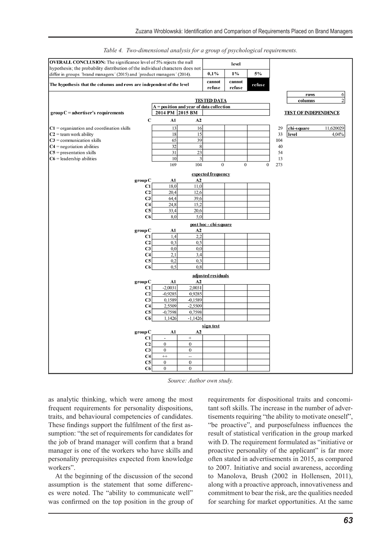| <b>OVERALL CONCLUSION:</b> The significance level of 5% rejects the null                                                                                  |                        |                                          | level                  |              |                  |           |                             |                  |
|-----------------------------------------------------------------------------------------------------------------------------------------------------------|------------------------|------------------------------------------|------------------------|--------------|------------------|-----------|-----------------------------|------------------|
| hypothesis; the probability distribution of the individual characters does not<br>differ in groups 'brand managers' (2015) and 'product managers' (2014). |                        |                                          |                        | $1\%$        | 5%               |           |                             |                  |
|                                                                                                                                                           |                        |                                          |                        | cannot       |                  |           |                             |                  |
| The hypothesis that the columns and rows are independent of the level                                                                                     |                        |                                          |                        | refuse       | refuse           |           |                             |                  |
|                                                                                                                                                           |                        |                                          |                        |              |                  |           | rows                        | $\boldsymbol{6}$ |
|                                                                                                                                                           |                        |                                          | <b>TESTED DATA</b>     |              |                  |           | columns                     | $\overline{2}$   |
|                                                                                                                                                           | 2014 PM 2015 BM        | A = position and year of data collection |                        |              |                  |           |                             |                  |
| $\mathbf{group} \mathbf{C} = \mathbf{ad} \mathbf{vertiser's requirements}$                                                                                |                        |                                          |                        |              |                  |           | <b>TEST OF INDEPENDENCE</b> |                  |
|                                                                                                                                                           | A1<br>С                | A2                                       |                        |              |                  |           |                             |                  |
| $C1$ = organization and coordination skills                                                                                                               | 13                     | 16                                       |                        |              |                  | 29        | chi-square                  | 11,620029        |
| $C2$ = team work ability                                                                                                                                  | 18                     | 15                                       |                        |              |                  | 33        | level                       | 4.04%            |
| $C3 =$ communication skills                                                                                                                               | 65                     | 39                                       |                        |              |                  | 104       |                             |                  |
| $C4$ = negotiation abilities                                                                                                                              | 32                     | $\,$ 8 $\,$                              |                        |              |                  | 40        |                             |                  |
| $C5$ = presentation skills                                                                                                                                | 31                     | $\overline{23}$                          |                        |              |                  | 54        |                             |                  |
| $C6$ = leadership abilities                                                                                                                               | 10<br>169              | 3<br>104                                 | $\overline{0}$         | $\mathbf{0}$ | $\boldsymbol{0}$ | 13<br>273 |                             |                  |
|                                                                                                                                                           |                        |                                          |                        |              |                  |           |                             |                  |
|                                                                                                                                                           |                        |                                          | expected frequency     |              |                  |           |                             |                  |
| group C<br>C1                                                                                                                                             | A1<br>18,0             | A2<br>11,0                               |                        |              |                  |           |                             |                  |
| C <sub>2</sub>                                                                                                                                            | 20,4                   | 12,6                                     |                        |              |                  |           |                             |                  |
| C <sub>3</sub>                                                                                                                                            | 64,4                   | 39,6                                     |                        |              |                  |           |                             |                  |
| C <sub>4</sub>                                                                                                                                            | 24,8                   | 15,2                                     |                        |              |                  |           |                             |                  |
| C <sub>5</sub>                                                                                                                                            | 33,4                   | 20,6                                     |                        |              |                  |           |                             |                  |
| C6                                                                                                                                                        | 8,0                    | 5,0                                      |                        |              |                  |           |                             |                  |
|                                                                                                                                                           |                        |                                          | post hoc - chí-s quare |              |                  |           |                             |                  |
| group C                                                                                                                                                   | A1                     | A2                                       |                        |              |                  |           |                             |                  |
| C1                                                                                                                                                        | 1,4                    | 2,2                                      |                        |              |                  |           |                             |                  |
| C <sub>2</sub>                                                                                                                                            | 0,3                    | 0,5                                      |                        |              |                  |           |                             |                  |
| C <sub>3</sub>                                                                                                                                            | 0,0                    | 0,0                                      |                        |              |                  |           |                             |                  |
| C <sub>4</sub>                                                                                                                                            | 2,1                    | 3,4                                      |                        |              |                  |           |                             |                  |
| C <sub>5</sub>                                                                                                                                            | 0,2                    | 0,3                                      |                        |              |                  |           |                             |                  |
| C <sub>6</sub>                                                                                                                                            | 0.5                    | 0.8                                      |                        |              |                  |           |                             |                  |
|                                                                                                                                                           |                        |                                          | adjusted residuals     |              |                  |           |                             |                  |
| group C                                                                                                                                                   | A1                     | A2                                       |                        |              |                  |           |                             |                  |
| C1<br>C <sub>2</sub>                                                                                                                                      | $-2,0031$<br>$-0,9285$ | 2,0031<br>0,9285                         |                        |              |                  |           |                             |                  |
| C <sub>3</sub>                                                                                                                                            | 0,1589                 | $-0,1589$                                |                        |              |                  |           |                             |                  |
| C <sub>4</sub>                                                                                                                                            | 2,5509                 | $-2,5509$                                |                        |              |                  |           |                             |                  |
| C <sub>5</sub>                                                                                                                                            | $-0,7598$              | 0,7598                                   |                        |              |                  |           |                             |                  |
| C6                                                                                                                                                        | 1,1426                 | $-1,1426$                                |                        |              |                  |           |                             |                  |
|                                                                                                                                                           |                        |                                          |                        |              |                  |           |                             |                  |
| group C                                                                                                                                                   | A1                     | A2                                       | sign test              |              |                  |           |                             |                  |
| C1                                                                                                                                                        | ÷                      | $^{+}$                                   |                        |              |                  |           |                             |                  |
| C <sub>2</sub>                                                                                                                                            | $\mathbf{0}$           | $\mathbf{0}$                             |                        |              |                  |           |                             |                  |
| C <sub>3</sub>                                                                                                                                            | $\mathbf{0}$           | $\boldsymbol{0}$                         |                        |              |                  |           |                             |                  |
| C <sub>4</sub>                                                                                                                                            | $^{++}$                | $\overline{\phantom{a}}$                 |                        |              |                  |           |                             |                  |
| C <sub>5</sub>                                                                                                                                            | $\overline{0}$         | $\mathbf{0}$                             |                        |              |                  |           |                             |                  |
| C6                                                                                                                                                        | $\mathbf{0}$           | $\mathbf{0}$                             |                        |              |                  |           |                             |                  |

*Table 4. Two-dimensional analysis for a group of psychological requirements.*

*Source: Author own study.*

as analytic thinking, which were among the most frequent requirements for personality dispositions, traits, and behavioural competencies of candidates. These findings support the fulfilment of the first assumption: "the set of requirements for candidates for the job of brand manager will confirm that a brand manager is one of the workers who have skills and personality prerequisites expected from knowledge workers".

At the beginning of the discussion of the second assumption is the statement that some differences were noted. The "ability to communicate well" was confirmed on the top position in the group of requirements for dispositional traits and concomitant soft skills. The increase in the number of advertisements requiring "the ability to motivate oneself", "be proactive", and purposefulness influences the result of statistical verification in the group marked with D. The requirement formulated as "initiative or proactive personality of the applicant" is far more often stated in advertisements in 2015, as compared to 2007. Initiative and social awareness, according to Manolova, Brush (2002 in Hollensen, 2011), along with a proactive approach, innovativeness and commitment to bear the risk, are the qualities needed for searching for market opportunities. At the same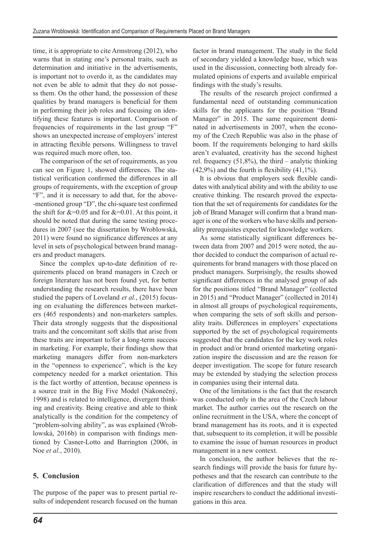time, it is appropriate to cite Armstrong (2012), who warns that in stating one's personal traits, such as determination and initiative in the advertisements, is important not to overdo it, as the candidates may not even be able to admit that they do not possess them. On the other hand, the possession of these qualities by brand managers is beneficial for them in performing their job roles and focusing on identifying these features is important. Comparison of frequencies of requirements in the last group "F" shows an unexpected increase of employers' interest in attracting flexible persons. Willingness to travel was required much more often, too.

The comparison of the set of requirements, as you can see on Figure 1, showed differences. The statistical verification confirmed the differences in all groups of requirements, with the exception of group "F", and it is necessary to add that, for the above- -mentioned group "D", the chi-square test confirmed the shift for  $&=0.05$  and for  $&=0.01$ . At this point, it should be noted that during the same testing procedures in 2007 (see the dissertation by Wroblowská, 2011) were found no significance differences at any level in sets of psychological between brand managers and product managers.

Since the complex up-to-date definition of requirements placed on brand managers in Czech or foreign literature has not been found yet, for better understanding the research results, there have been studied the papers of Loveland *et al.*, (2015) focusing on evaluating the differences between marketers (465 respondents) and non-marketers samples. Their data strongly suggests that the dispositional traits and the concomitant soft skills that arise from these traits are important to/for a long-term success in marketing. For example, their findings show that marketing managers differ from non-marketers in the "openness to experience", which is the key competency needed for a market orientation. This is the fact worthy of attention, because openness is a source trait in the Big Five Model (Nakonečný, 1998) and is related to intelligence, divergent thinking and creativity. Being creative and able to think analytically is the condition for the competency of "problem-solving ability", as was explained (Wroblowská, 2016b) in comparison with findings mentioned by Casner-Lotto and Barrington (2006, in Noe *et al.*, 2010).

## **5. Conclusion**

The purpose of the paper was to present partial results of independent research focused on the human factor in brand management. The study in the field of secondary yielded a knowledge base, which was used in the discussion, connecting both already formulated opinions of experts and available empirical findings with the study's results.

The results of the research project confirmed a fundamental need of outstanding communication skills for the applicants for the position "Brand Manager" in 2015. The same requirement dominated in advertisements in 2007, when the economy of the Czech Republic was also in the phase of boom. If the requirements belonging to hard skills aren't evaluated, creativity has the second highest rel. frequency  $(51,8\%)$ , the third – analytic thinking  $(42,9\%)$  and the fourth is flexibility  $(41,1\%)$ .

It is obvious that employers seek flexible candidates with analytical ability and with the ability to use creative thinking. The research proved the expectation that the set of requirements for candidates for the job of Brand Manager will confirm that a brand manager is one of the workers who have skills and personality prerequisites expected for knowledge workers.

As some statistically significant differences between data from 2007 and 2015 were noted, the author decided to conduct the comparison of actual requirements for brand managers with those placed on product managers. Surprisingly, the results showed significant differences in the analysed group of ads for the positions titled "Brand Manager" (collected in 2015) and "Product Manager" (collected in 2014) in almost all groups of psychological requirements, when comparing the sets of soft skills and personality traits. Differences in employers' expectations supported by the set of psychological requirements suggested that the candidates for the key work roles in product and/or brand oriented marketing organization inspire the discussion and are the reason for deeper investigation. The scope for future research may be extended by studying the selection process in companies using their internal data.

One of the limitations is the fact that the research was conducted only in the area of the Czech labour market. The author carries out the research on the online recruitment in the USA, where the concept of brand management has its roots, and it is expected that, subsequent to its completion, it will be possible to examine the issue of human resources in product management in a new context.

In conclusion, the author believes that the research findings will provide the basis for future hypotheses and that the research can contribute to the clarification of differences and that the study will inspire researchers to conduct the additional investigations in this area.